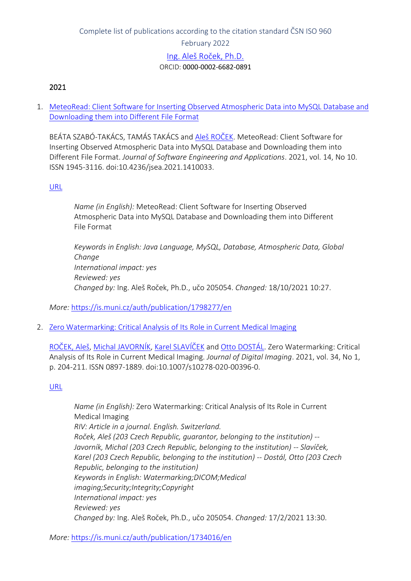#### 2021

1. [MeteoRead: Client Software for Inserting Observed Atmospheric Data into MySQL Database and](https://is.muni.cz/auth/publication/1798277/en?lang=en)  [Downloading them into Different File Format](https://is.muni.cz/auth/publication/1798277/en?lang=en)

BEÁTA SZABÓ-TAKÁCS, TAMÁS TAKÁCS and [Aleš ROČEK](https://is.muni.cz/auth/person/205054?lang=en). MeteoRead: Client Software for Inserting Observed Atmospheric Data into MySQL Database and Downloading them into Different File Format. *Journal of Software Engineering and Applications*. 2021, vol. 14, No 10. ISSN 1945-3116. doi:10.4236/jsea.2021.1410033.

#### [URL](https://www.scirp.org/journal/paperinformation.aspx?paperid=112512)

*Name (in English):* MeteoRead: Client Software for Inserting Observed Atmospheric Data into MySQL Database and Downloading them into Different File Format

*Keywords in English: Java Language, MySQL, Database, Atmospheric Data, Global Change International impact: yes Reviewed: yes Changed by:* Ing. Aleš Roček, Ph.D., učo 205054. *Changed:* 18/10/2021 10:27.

*More:* [https://is.muni.cz/auth/publication/1798277/en](https://is.muni.cz/auth/publication/1798277/en/MeteoRead-Client-Software-for-Inserting-Observed-Atmospheric-Data-into-MySQL-Database-and-Downloading-them-into-Different-File-Format/Szabo-Takacs-Takacs-Rocek?lang=en)

2. [Zero Watermarking: Critical Analysis of Its Role in Current Medical Imaging](https://is.muni.cz/auth/publication/1734016/en?lang=en)

[ROČEK, Aleš](https://is.muni.cz/auth/person/205054?lang=en), [Michal JAVORNÍK](https://is.muni.cz/auth/person/1111?lang=en), [Karel SLAVÍČEK](https://is.muni.cz/auth/person/1158?lang=en) and [Otto DOSTÁL](https://is.muni.cz/auth/person/2535?lang=en). Zero Watermarking: Critical Analysis of Its Role in Current Medical Imaging. *Journal of Digital Imaging*. 2021, vol. 34, No 1, p. 204-211. ISSN 0897-1889. doi:10.1007/s10278-020-00396-0.

## [URL](https://link.springer.com/article/10.1007/s10278-020-00396-0)

*Name (in English):* Zero Watermarking: Critical Analysis of Its Role in Current Medical Imaging *RIV: Article in a journal. English. Switzerland. Roček, Aleš (203 Czech Republic, guarantor, belonging to the institution) -- Javorník, Michal (203 Czech Republic, belonging to the institution) -- Slavíček, Karel (203 Czech Republic, belonging to the institution) -- Dostál, Otto (203 Czech Republic, belonging to the institution) Keywords in English: Watermarking;DICOM;Medical imaging;Security;Integrity;Copyright International impact: yes Reviewed: yes Changed by:* Ing. Aleš Roček, Ph.D., učo 205054. *Changed:* 17/2/2021 13:30.

*More:* [https://is.muni.cz/auth/publication/1734016/en](https://is.muni.cz/auth/publication/1734016/en/Zero-Watermarking-Critical-Analysis-of-Its-Role-in-Current-Medical-Imaging/Rocek-Javornik-Slavicek-Dostal?lang=en)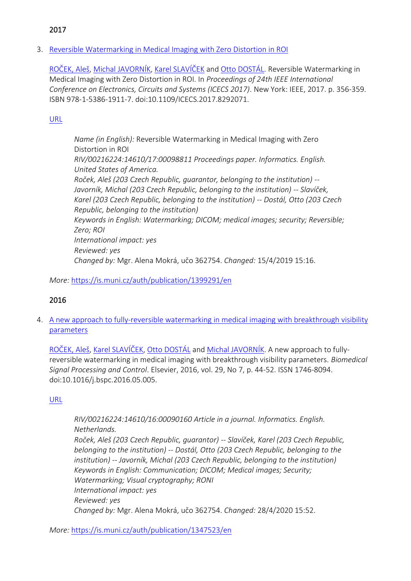## 2017

3. [Reversible Watermarking in Medical Imaging with Zero Distortion in ROI](https://is.muni.cz/auth/publication/1399291/en?lang=en)

[ROČEK, Aleš](https://is.muni.cz/auth/person/205054?lang=en), [Michal JAVORNÍK](https://is.muni.cz/auth/person/1111?lang=en), [Karel SLAVÍČEK](https://is.muni.cz/auth/person/1158?lang=en) and [Otto DOSTÁL](https://is.muni.cz/auth/person/2535?lang=en). Reversible Watermarking in Medical Imaging with Zero Distortion in ROI. In *Proceedings of 24th IEEE International Conference on Electronics, Circuits and Systems (ICECS 2017)*. New York: IEEE, 2017. p. 356-359. ISBN 978-1-5386-1911-7. doi:10.1109/ICECS.2017.8292071.

# [URL](https://ieeexplore.ieee.org/document/8292071/)

*Name (in English):* Reversible Watermarking in Medical Imaging with Zero Distortion in ROI *RIV/00216224:14610/17:00098811 Proceedings paper. Informatics. English. United States of America. Roček, Aleš (203 Czech Republic, guarantor, belonging to the institution) -- Javorník, Michal (203 Czech Republic, belonging to the institution) -- Slavíček, Karel (203 Czech Republic, belonging to the institution) -- Dostál, Otto (203 Czech Republic, belonging to the institution) Keywords in English: Watermarking; DICOM; medical images; security; Reversible; Zero; ROI International impact: yes Reviewed: yes Changed by:* Mgr. Alena Mokrá, učo 362754. *Changed:* 15/4/2019 15:16.

*More:* [https://is.muni.cz/auth/publication/1399291/en](https://is.muni.cz/auth/publication/1399291/en/Reversible-Watermarking-in-Medical-Imaging-with-Zero-Distortion-in-ROI/Rocek-Javornik-Slavicek-Dostal?lang=en)

# 2016

4. [A new approach to fully-reversible watermarking in medical imaging with breakthrough visibility](https://is.muni.cz/auth/publication/1347523/en?lang=en)  [parameters](https://is.muni.cz/auth/publication/1347523/en?lang=en)

[ROČEK, Aleš](https://is.muni.cz/auth/person/205054?lang=en), [Karel SLAVÍČEK](https://is.muni.cz/auth/person/1158?lang=en), [Otto DOSTÁL](https://is.muni.cz/auth/person/2535?lang=en) and [Michal JAVORNÍK](https://is.muni.cz/auth/person/1111?lang=en). A new approach to fullyreversible watermarking in medical imaging with breakthrough visibility parameters. *Biomedical Signal Processing and Control*. Elsevier, 2016, vol. 29, No 7, p. 44-52. ISSN 1746-8094. doi:10.1016/j.bspc.2016.05.005.

# [URL](https://doi.org/10.1016/j.bspc.2016.05.005)

*RIV/00216224:14610/16:00090160 Article in a journal. Informatics. English. Netherlands.*

*Roček, Aleš (203 Czech Republic, guarantor) -- Slavíček, Karel (203 Czech Republic, belonging to the institution) -- Dostál, Otto (203 Czech Republic, belonging to the institution) -- Javorník, Michal (203 Czech Republic, belonging to the institution) Keywords in English: Communication; DICOM; Medical images; Security; Watermarking; Visual cryptography; RONI International impact: yes Reviewed: yes Changed by:* Mgr. Alena Mokrá, učo 362754. *Changed:* 28/4/2020 15:52.

*More:* [https://is.muni.cz/auth/publication/1347523/en](https://is.muni.cz/auth/publication/1347523/en/A-new-approach-to-fully-reversible-watermarking-in-medical-imaging-with-breakthrough-visibility-parameters/Rocek-Slavicek-Dostal-Javornik?lang=en)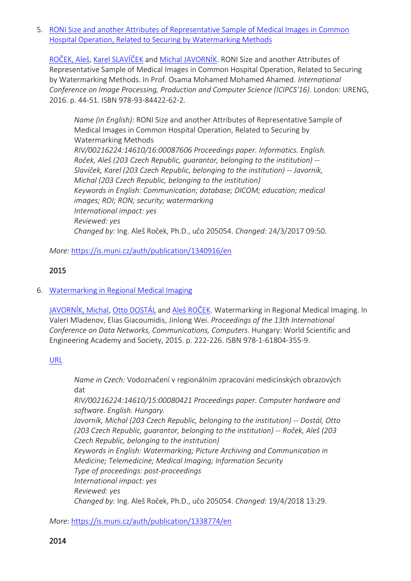5. [RONI Size and another Attributes of Representative Sample of Medical Images in Common](https://is.muni.cz/auth/publication/1340916/en?lang=en)  Hospital Operation, [Related to Securing by Watermarking Methods](https://is.muni.cz/auth/publication/1340916/en?lang=en)

[ROČEK, Aleš](https://is.muni.cz/auth/person/205054?lang=en), [Karel SLAVÍČEK](https://is.muni.cz/auth/person/1158?lang=en) and [Michal JAVORNÍK](https://is.muni.cz/auth/person/1111?lang=en). RONI Size and another Attributes of Representative Sample of Medical Images in Common Hospital Operation, Related to Securing by Watermarking Methods. In Prof. Osama Mohamed Mohamed Ahamed. *International Conference on Image Processing, Production and Computer Science (ICIPCS'16)*. London: URENG, 2016. p. 44-51. ISBN 978-93-84422-62-2.

*Name (in English):* RONI Size and another Attributes of Representative Sample of Medical Images in Common Hospital Operation, Related to Securing by Watermarking Methods *RIV/00216224:14610/16:00087606 Proceedings paper. Informatics. English. Roček, Aleš (203 Czech Republic, guarantor, belonging to the institution) -- Slavíček, Karel (203 Czech Republic, belonging to the institution) -- Javorník, Michal (203 Czech Republic, belonging to the institution) Keywords in English: Communication; database; DICOM; education; medical images; ROI; RON; security; watermarking International impact: yes Reviewed: yes Changed by:* Ing. Aleš Roček, Ph.D., učo 205054. *Changed:* 24/3/2017 09:50.

*More:* [https://is.muni.cz/auth/publication/1340916/en](https://is.muni.cz/auth/publication/1340916/en/RONI-Size-and-another-Attributes-of-Representative-Sample-of-Medical-Images-in-Common-Hospital-Operation-Related-to-Securing-by-Watermarking-Methods/Rocek-Slavicek-Javornik?lang=en)

## 2015

6. [Watermarking in Regional Medical Imaging](https://is.muni.cz/auth/publication/1338774/en?lang=en)

[JAVORNÍK, Michal](https://is.muni.cz/auth/person/1111?lang=en), [Otto DOSTÁL](https://is.muni.cz/auth/person/2535?lang=en) and [Aleš ROČEK](https://is.muni.cz/auth/person/205054?lang=en). Watermarking in Regional Medical Imaging. In Valeri Mladenov, Elias Giacoumidis, Jinlong Wei. *Proceedings of the 13th International Conference on Data Networks, Communications, Computers*. Hungary: World Scientific and Engineering Academy and Society, 2015. p. 222-226. ISBN 978-1-61804-355-9.

[URL](http://www.wseas.us/e-library/conferences/2015/Budapest/DNCOSE/DNCOSE-35.pdf)

*Name in Czech:* Vodoznačení v regionálním zpracování medicínských obrazových dat

*RIV/00216224:14610/15:00080421 Proceedings paper. Computer hardware and software. English. Hungary.*

*Javorník, Michal (203 Czech Republic, belonging to the institution) -- Dostál, Otto (203 Czech Republic, guarantor, belonging to the institution) -- Roček, Aleš (203 Czech Republic, belonging to the institution)*

*Keywords in English: Watermarking; Picture Archiving and Communication in Medicine; Telemedicine; Medical Imaging; Information Security Type of proceedings: post-proceedings International impact: yes*

*Reviewed: yes*

*Changed by:* Ing. Aleš Roček, Ph.D., učo 205054. *Changed:* 19/4/2018 13:29.

*More:* [https://is.muni.cz/auth/publication/1338774/en](https://is.muni.cz/auth/publication/1338774/en/Watermarking-in-Regional-Medical-Imaging/Javornik-Dostal-Rocek?lang=en)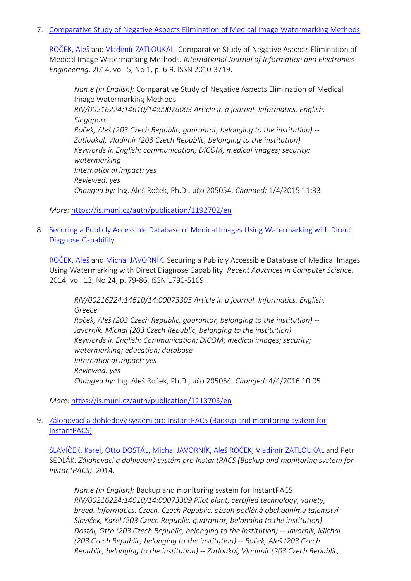#### 7. [Comparative Study of Negative Aspects Elimination of Medical Image Watermarking Methods](https://is.muni.cz/auth/publication/1192702/en?lang=en)

[ROČEK, Aleš](https://is.muni.cz/auth/person/205054?lang=en) and [Vladimír ZATLOUKAL](https://is.muni.cz/auth/person/1113?lang=en). Comparative Study of Negative Aspects Elimination of Medical Image Watermarking Methods. *International Journal of Information and Electronics Engineering*. 2014, vol. 5, No 1, p. 6-9. ISSN 2010-3719.

*Name (in English):* Comparative Study of Negative Aspects Elimination of Medical Image Watermarking Methods *RIV/00216224:14610/14:00076003 Article in a journal. Informatics. English. Singapore. Roček, Aleš (203 Czech Republic, guarantor, belonging to the institution) -- Zatloukal, Vladimír (203 Czech Republic, belonging to the institution) Keywords in English: communication; DICOM; medical images; security; watermarking International impact: yes Reviewed: yes Changed by:* Ing. Aleš Roček, Ph.D., učo 205054. *Changed:* 1/4/2015 11:33.

*More:* [https://is.muni.cz/auth/publication/1192702/en](https://is.muni.cz/auth/publication/1192702/en/Comparative-Study-of-Negative-Aspects-Elimination-of-Medical-Image-Watermarking-Methods/Rocek-Zatloukal?lang=en)

8. [Securing a Publicly Accessible Database of Medical Images Using Watermarking with Direct](https://is.muni.cz/auth/publication/1213703/en?lang=en)  [Diagnose Capability](https://is.muni.cz/auth/publication/1213703/en?lang=en)

[ROČEK, Aleš](https://is.muni.cz/auth/person/205054?lang=en) and [Michal JAVORNÍK](https://is.muni.cz/auth/person/1111?lang=en). Securing a Publicly Accessible Database of Medical Images Using Watermarking with Direct Diagnose Capability. *Recent Advances in Computer Science*. 2014, vol. 13, No 24, p. 79-86. ISSN 1790-5109.

*RIV/00216224:14610/14:00073305 Article in a journal. Informatics. English. Greece. Roček, Aleš (203 Czech Republic, guarantor, belonging to the institution) -- Javorník, Michal (203 Czech Republic, belonging to the institution) Keywords in English: Communication; DICOM; medical images; security; watermarking; education; database International impact: yes Reviewed: yes Changed by:* Ing. Aleš Roček, Ph.D., učo 205054. *Changed:* 4/4/2016 10:05.

*More:* [https://is.muni.cz/auth/publication/1213703/en](https://is.muni.cz/auth/publication/1213703/en/Securing-a-Publicly-Accessible-Database-of-Medical-Images-Using-Watermarking-with-Direct-Diagnose-Capability/Rocek-Javornik?lang=en)

## 9. [Zálohovací a dohledový systém pro InstantPACS \(Backup and monitoring system for](https://is.muni.cz/auth/publication/1217373/en?lang=en)  [InstantPACS\)](https://is.muni.cz/auth/publication/1217373/en?lang=en)

[SLAVÍČEK, Karel](https://is.muni.cz/auth/person/1158?lang=en), [Otto DOSTÁL](https://is.muni.cz/auth/person/2535?lang=en), [Michal JAVORNÍK](https://is.muni.cz/auth/person/1111?lang=en), [Aleš ROČEK](https://is.muni.cz/auth/person/205054?lang=en), [Vladimír ZATLOUKAL](https://is.muni.cz/auth/person/1113?lang=en) and Petr SEDLÁK. *Zálohovací a dohledový systém pro InstantPACS (Backup and monitoring system for InstantPACS)*. 2014.

*Name (in English):* Backup and monitoring system for InstantPACS *RIV/00216224:14610/14:00073309 Pilot plant, certified technology, variety, breed. Informatics. Czech. Czech Republic. obsah podléhá obchodnímu tajemství. Slavíček, Karel (203 Czech Republic, guarantor, belonging to the institution) -- Dostál, Otto (203 Czech Republic, belonging to the institution) -- Javorník, Michal (203 Czech Republic, belonging to the institution) -- Roček, Aleš (203 Czech Republic, belonging to the institution) -- Zatloukal, Vladimír (203 Czech Republic,*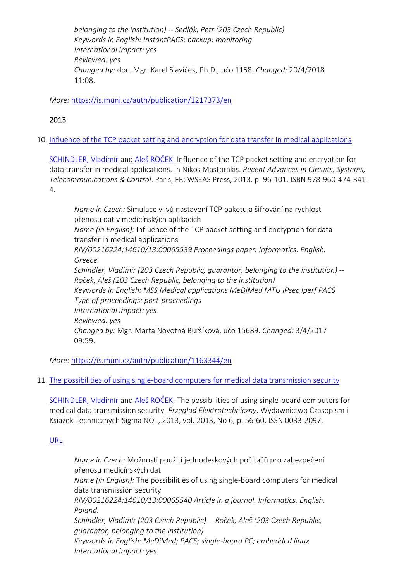*belonging to the institution) -- Sedlák, Petr (203 Czech Republic) Keywords in English: InstantPACS; backup; monitoring International impact: yes Reviewed: yes Changed by:* doc. Mgr. Karel Slavíček, Ph.D., učo 1158. *Changed:* 20/4/2018 11:08.

*More:* [https://is.muni.cz/auth/publication/1217373/en](https://is.muni.cz/auth/publication/1217373/en/Zalohovaci-a-dohledovy-system-pro-InstantPACS/Slavicek-Dostal-Javornik-Rocek?lang=en)

# 2013

10. [Influence of the TCP packet setting and encryption for data transfer in medical applications](https://is.muni.cz/auth/publication/1163344/en?lang=en)

[SCHINDLER, Vladimír](https://is.muni.cz/auth/person/160298?lang=en) and [Aleš ROČEK](https://is.muni.cz/auth/person/205054?lang=en). Influence of the TCP packet setting and encryption for data transfer in medical applications. In Nikos Mastorakis. *Recent Advances in Circuits, Systems, Telecommunications & Control*. Paris, FR: WSEAS Press, 2013. p. 96-101. ISBN 978-960-474-341- 4.

*Name in Czech:* Simulace vlivů nastavení TCP paketu a šifrování na rychlost přenosu dat v medicínských aplikacích *Name (in English):* Influence of the TCP packet setting and encryption for data transfer in medical applications *RIV/00216224:14610/13:00065539 Proceedings paper. Informatics. English. Greece. Schindler, Vladimír (203 Czech Republic, guarantor, belonging to the institution) -- Roček, Aleš (203 Czech Republic, belonging to the institution) Keywords in English: MSS Medical applications MeDiMed MTU IPsec Iperf PACS Type of proceedings: post-proceedings International impact: yes Reviewed: yes Changed by:* Mgr. Marta Novotná Buršíková, učo 15689. *Changed:* 3/4/2017 09:59.

*More:* [https://is.muni.cz/auth/publication/1163344/en](https://is.muni.cz/auth/publication/1163344/en/Influence-of-the-TCP-packet-setting-and-encryption-for-data-transfer-in-medical-applications/Schindler-Rocek?lang=en)

# 11. [The possibilities of using single-board computers for medical data transmission security](https://is.muni.cz/auth/publication/1163351/en?lang=en)

[SCHINDLER, Vladimír](https://is.muni.cz/auth/person/160298?lang=en) and [Aleš ROČEK](https://is.muni.cz/auth/person/205054?lang=en). The possibilities of using single-board computers for medical data transmission security. *Przeglad Elektrotechniczny*. Wydawnictwo Czasopism i Ksiażek Technicznych Sigma NOT, 2013, vol. 2013, No 6, p. 56-60. ISSN 0033-2097.

# [URL](http://www.red.pe.org.pl/abstract_pl.php?nid=7656)

*Name in Czech:* Možnosti použití jednodeskových počítačů pro zabezpečení přenosu medicínských dat *Name (in English):* The possibilities of using single-board computers for medical data transmission security *RIV/00216224:14610/13:00065540 Article in a journal. Informatics. English. Poland. Schindler, Vladimír (203 Czech Republic) -- Roček, Aleš (203 Czech Republic, guarantor, belonging to the institution) Keywords in English: MeDiMed; PACS; single-board PC; embedded linux International impact: yes*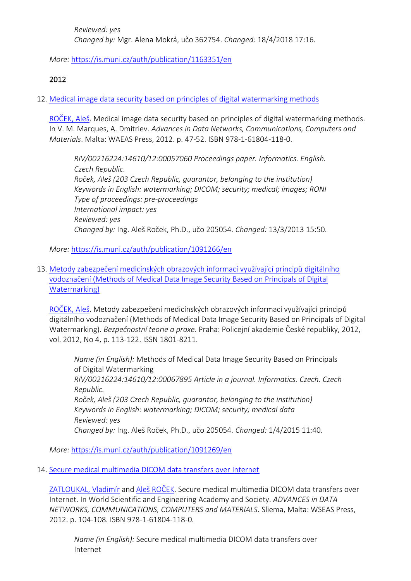*More:* [https://is.muni.cz/auth/publication/1163351/en](https://is.muni.cz/auth/publication/1163351/en/The-possibilities-of-using-single-board-computers-for-medical-data-transmission-security/Schindler-Rocek?lang=en)

## 2012

12. [Medical image data security based on principles of digital watermarking methods](https://is.muni.cz/auth/publication/1091266/en?lang=en)

[ROČEK, Aleš](https://is.muni.cz/auth/person/205054?lang=en). Medical image data security based on principles of digital watermarking methods. In V. M. Marques, A. Dmitriev. *Advances in Data Networks, Communications, Computers and Materials*. Malta: WAEAS Press, 2012. p. 47-52. ISBN 978-1-61804-118-0.

*RIV/00216224:14610/12:00057060 Proceedings paper. Informatics. English. Czech Republic. Roček, Aleš (203 Czech Republic, guarantor, belonging to the institution) Keywords in English: watermarking; DICOM; security; medical; images; RONI Type of proceedings: pre-proceedings International impact: yes Reviewed: yes Changed by:* Ing. Aleš Roček, Ph.D., učo 205054. *Changed:* 13/3/2013 15:50.

*More:* [https://is.muni.cz/auth/publication/1091266/en](https://is.muni.cz/auth/publication/1091266/en/Medical-image-data-security-based-on-principles-of-digital-watermarking-methods/Rocek?lang=en)

13. [Metody zabezpečení medicínských obrazových informací využívající principů digitálního](https://is.muni.cz/auth/publication/1091269/en?lang=en)  [vodoznačení \(Methods of Medical Data Image Security Based on Principals of Digital](https://is.muni.cz/auth/publication/1091269/en?lang=en)  [Watermarking\)](https://is.muni.cz/auth/publication/1091269/en?lang=en)

[ROČEK, Aleš.](https://is.muni.cz/auth/person/205054?lang=en) Metody zabezpečení medicínských obrazových informací využívající principů digitálního vodoznačení (Methods of Medical Data Image Security Based on Principals of Digital Watermarking). *Bezpečnostní teorie a praxe*. Praha: Policejní akademie České republiky, 2012, vol. 2012, No 4, p. 113-122. ISSN 1801-8211.

*Name (in English):* Methods of Medical Data Image Security Based on Principals of Digital Watermarking *RIV/00216224:14610/12:00067895 Article in a journal. Informatics. Czech. Czech Republic. Roček, Aleš (203 Czech Republic, guarantor, belonging to the institution) Keywords in English: watermarking; DICOM; security; medical data Reviewed: yes Changed by:* Ing. Aleš Roček, Ph.D., učo 205054. *Changed:* 1/4/2015 11:40.

*More:* [https://is.muni.cz/auth/publication/1091269/en](https://is.muni.cz/auth/publication/1091269/en/Metody-zabezpeceni-medicinskych-obrazovych-informaci-vyuzivajici-principu-digitalniho-vodoznaceni/Rocek?lang=en)

## 14. [Secure medical multimedia DICOM data transfers over Internet](https://is.muni.cz/auth/publication/1078143/en?lang=en)

[ZATLOUKAL, Vladimír](https://is.muni.cz/auth/person/1113?lang=en) and [Aleš ROČEK](https://is.muni.cz/auth/person/205054?lang=en). Secure medical multimedia DICOM data transfers over Internet. In World Scientific and Engineering Academy and Society. *ADVANCES in DATA NETWORKS, COMMUNICATIONS, COMPUTERS and MATERIALS*. Sliema, Malta: WSEAS Press, 2012. p. 104-108. ISBN 978-1-61804-118-0.

*Name (in English):* Secure medical multimedia DICOM data transfers over Internet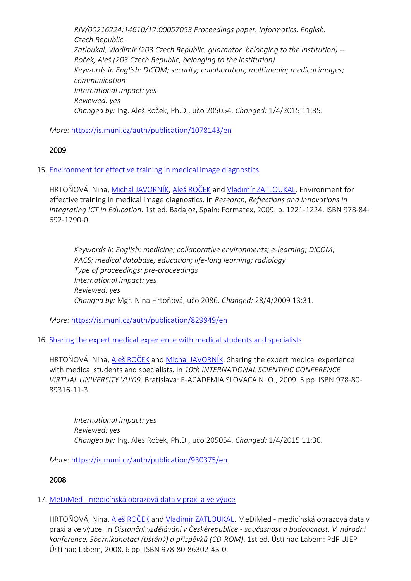*RIV/00216224:14610/12:00057053 Proceedings paper. Informatics. English. Czech Republic. Zatloukal, Vladimír (203 Czech Republic, guarantor, belonging to the institution) -- Roček, Aleš (203 Czech Republic, belonging to the institution) Keywords in English: DICOM; security; collaboration; multimedia; medical images; communication International impact: yes Reviewed: yes Changed by:* Ing. Aleš Roček, Ph.D., učo 205054. *Changed:* 1/4/2015 11:35.

*More:* [https://is.muni.cz/auth/publication/1078143/en](https://is.muni.cz/auth/publication/1078143/en/Secure-medical-multimedia-DICOM-data-transfers-over-Internet/Zatloukal-Rocek?lang=en)

# 2009

## 15. [Environment for effective training in medical image diagnostics](https://is.muni.cz/auth/publication/829949/en?lang=en)

HRTOŇOVÁ, Nina, [Michal JAVORNÍK](https://is.muni.cz/auth/person/1111?lang=en), [Aleš ROČEK](https://is.muni.cz/auth/person/205054?lang=en) and [Vladimír ZATLOUKAL](https://is.muni.cz/auth/person/1113?lang=en). Environment for effective training in medical image diagnostics. In *Research, Reflections and Innovations in Integrating ICT in Education*. 1st ed. Badajoz, Spain: Formatex, 2009. p. 1221-1224. ISBN 978-84- 692-1790-0.

*Keywords in English: medicine; collaborative environments; e-learning; DICOM; PACS; medical database; education; life-long learning; radiology Type of proceedings: pre-proceedings International impact: yes Reviewed: yes Changed by:* Mgr. Nina Hrtoňová, učo 2086. *Changed:* 28/4/2009 13:31.

*More:* [https://is.muni.cz/auth/publication/829949/en](https://is.muni.cz/auth/publication/829949/en/Environment-for-effective-training-in-medical-image-diagnostics/Hrtonova-Javornik-Rocek-Zatloukal?lang=en)

16. [Sharing the expert medical experience with medical students and specialists](https://is.muni.cz/auth/publication/930375/en?lang=en)

HRTOŇOVÁ, Nina, [Aleš ROČEK](https://is.muni.cz/auth/person/205054?lang=en) and [Michal JAVORNÍK](https://is.muni.cz/auth/person/1111?lang=en). Sharing the expert medical experience with medical students and specialists. In *10th INTERNATIONAL SCIENTIFIC CONFERENCE VIRTUAL UNIVERSITY VU'09*. Bratislava: E-ACADEMIA SLOVACA N: O., 2009. 5 pp. ISBN 978-80- 89316-11-3.

*International impact: yes Reviewed: yes Changed by:* Ing. Aleš Roček, Ph.D., učo 205054. *Changed:* 1/4/2015 11:36.

*More:* [https://is.muni.cz/auth/publication/930375/en](https://is.muni.cz/auth/publication/930375/en/Sharing-the-expert-medical-experience-with-medical-students-and-specialists/Hrtonova-Rocek-Javornik?lang=en)

2008

## 17. MeDiMed - [medicínská obrazová data v praxi a ve výuce](https://is.muni.cz/auth/publication/771645/en?lang=en)

HRTOŇOVÁ, Nina, [Aleš ROČEK](https://is.muni.cz/auth/person/205054?lang=en) and [Vladimír ZATLOUKAL](https://is.muni.cz/auth/person/1113?lang=en). MeDiMed - medicínská obrazová data v praxi a ve výuce. In *Distanční vzdělávání v Českérepublice - současnost a budoucnost, V. národní konference, Sborníkanotací (tištěný) a příspěvků (CD-ROM)*. 1st ed. Ústí nad Labem: PdF UJEP Ústí nad Labem, 2008. 6 pp. ISBN 978-80-86302-43-0.